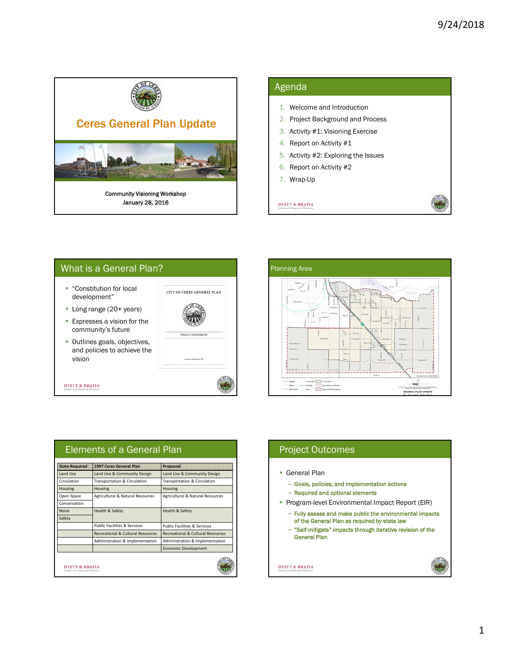$\Pi$ 

χ'n



### Agenda

- 1. Welcome and Introduction
- 2. Project Background and Process
- 3. Activity #1: Visioning Exercise
- 4. Report on Activity #1
- 5. Activity #2: Exploring the Issues
- 6. Report on Activity #2
- 7. Wrap-Up

### **DYETT & BHATIA**





| <b>State-Required</b> | 1997 Ceres General Plan                      | <b>Proposed</b>                              |
|-----------------------|----------------------------------------------|----------------------------------------------|
| Land Use              | Land Use & Community Design                  | Land Use & Community Design                  |
| Circulation           | Transportation & Circulation                 | Transportation & Circulation                 |
| <b>Housing</b>        | <b>Housing</b>                               | Housing                                      |
| Open Space            | Agricultural & Natural Resources             | Agricultural & Natural Resources             |
| Conservation          |                                              |                                              |
| <b>Noise</b>          | <b>Health &amp; Safety</b>                   | <b>Health &amp; Safety</b>                   |
| Safety                |                                              |                                              |
|                       | <b>Public Facilities &amp; Services</b>      | <b>Public Facilities &amp; Services</b>      |
|                       | <b>Recreational &amp; Cultural Resources</b> | <b>Recreational &amp; Cultural Resources</b> |
|                       | Administration & Implementation              | Administration & Implementation              |
|                       |                                              | <b>Economic Development</b>                  |

# Project Outcomes

- General Plan
	- Goals, policies, and implementation actions
	- Required and optional elements
- **Program-level Environmental Impact Report (EIR)** 
	- Fully assess and make public the environmental impacts of the General Plan as required by state law
	- "Self-mitigate" impacts through iterative revision of the General Plan

#### **DYETT & BHATIA**

#### 1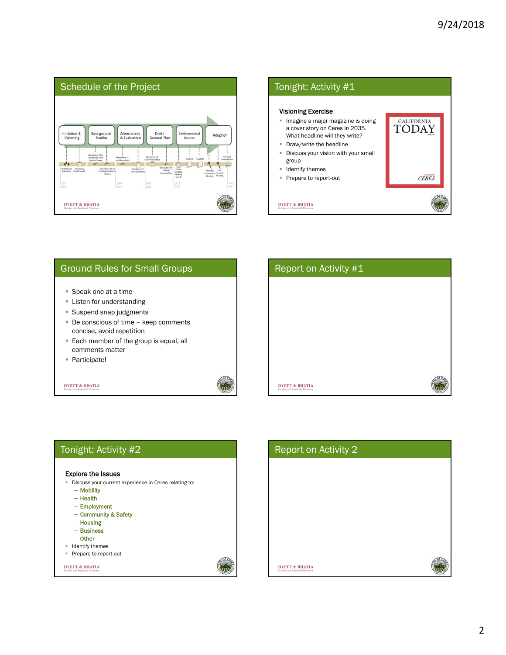



### Ground Rules for Small Groups

- **Speak one at a time**
- **-** Listen for understanding
- **Suspend snap judgments**
- Be conscious of time keep comments concise, avoid repetition
- **Each member of the group is equal, all** comments matter
- **Participate!**

#### **DYETT & BHATIA**



| Tonight: Activity #2                                       |  |
|------------------------------------------------------------|--|
|                                                            |  |
| <b>Explore the Issues</b>                                  |  |
| Discuss your current experience in Ceres relating to:<br>п |  |
| - Mobility                                                 |  |
| $-$ Health                                                 |  |
| - Employment                                               |  |
| - Community & Safety                                       |  |
| - Housing                                                  |  |
| $-$ Business                                               |  |
| - Other                                                    |  |
| Identify themes<br>ш                                       |  |
| Prepare to report-out                                      |  |
|                                                            |  |
| <b>DYETT &amp; BHATIA</b><br>Urban and Regional Planners   |  |

硫

| Report on Activity 2                                     |  |
|----------------------------------------------------------|--|
|                                                          |  |
|                                                          |  |
|                                                          |  |
|                                                          |  |
|                                                          |  |
| <b>DYETT &amp; BHATIA</b><br>Urban and Regional Planners |  |